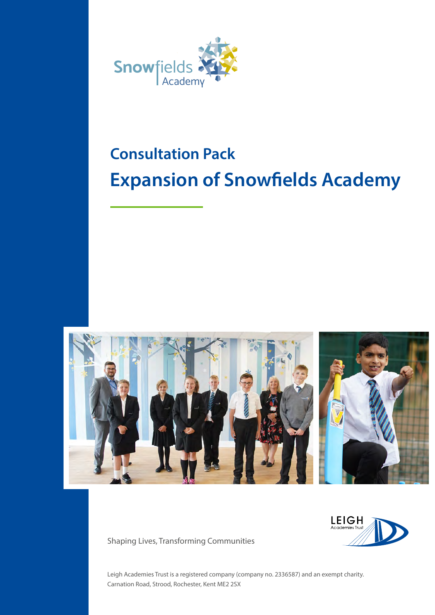

# **Consultation Pack Expansion of Snowfields Academy**



**LEIGH** Academies

Shaping Lives, Transforming Communities

Leigh Academies Trust is a registered company (company no. 2336587) and an exempt charity. Carnation Road, Strood, Rochester, Kent ME2 2SX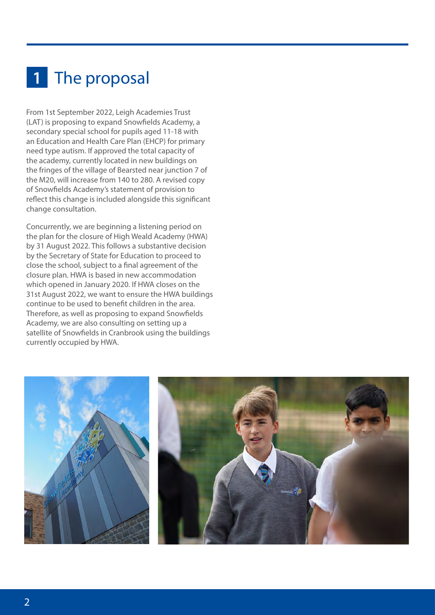## 1 The proposal

From 1st September 2022, Leigh Academies Trust (LAT) is proposing to expand Snowfields Academy, a secondary special school for pupils aged 11-18 with an Education and Health Care Plan (EHCP) for primary need type autism. If approved the total capacity of the academy, currently located in new buildings on the fringes of the village of Bearsted near junction 7 of the M20, will increase from 140 to 280. A revised copy of Snowfields Academy's statement of provision to reflect this change is included alongside this significant change consultation.

Concurrently, we are beginning a listening period on the plan for the closure of High Weald Academy (HWA) by 31 August 2022. This follows a substantive decision by the Secretary of State for Education to proceed to close the school, subject to a final agreement of the closure plan. HWA is based in new accommodation which opened in January 2020. If HWA closes on the 31st August 2022, we want to ensure the HWA buildings continue to be used to benefit children in the area. Therefore, as well as proposing to expand Snowfields Academy, we are also consulting on setting up a satellite of Snowfields in Cranbrook using the buildings currently occupied by HWA.

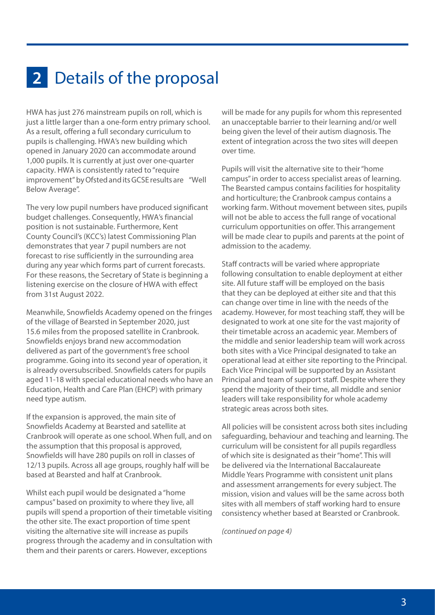#### 2 Details of the proposal

HWA has just 276 mainstream pupils on roll, which is just a little larger than a one-form entry primary school. As a result, offering a full secondary curriculum to pupils is challenging. HWA's new building which opened in January 2020 can accommodate around 1,000 pupils. It is currently at just over one-quarter capacity. HWA is consistently rated to "require improvement" by Ofsted and its GCSE results are "Well Below Average".

The very low pupil numbers have produced significant budget challenges. Consequently, HWA's financial position is not sustainable. Furthermore, Kent County Council's (KCC's) latest Commissioning Plan demonstrates that year 7 pupil numbers are not forecast to rise sufficiently in the surrounding area during any year which forms part of current forecasts. For these reasons, the Secretary of State is beginning a listening exercise on the closure of HWA with effect from 31st August 2022.

Meanwhile, Snowfields Academy opened on the fringes of the village of Bearsted in September 2020, just 15.6 miles from the proposed satellite in Cranbrook. Snowfields enjoys brand new accommodation delivered as part of the government's free school programme. Going into its second year of operation, it is already oversubscribed. Snowfields caters for pupils aged 11-18 with special educational needs who have an Education, Health and Care Plan (EHCP) with primary need type autism.

If the expansion is approved, the main site of Snowfields Academy at Bearsted and satellite at Cranbrook will operate as one school. When full, and on the assumption that this proposal is approved, Snowfields will have 280 pupils on roll in classes of 12/13 pupils. Across all age groups, roughly half will be based at Bearsted and half at Cranbrook.

Whilst each pupil would be designated a "home campus" based on proximity to where they live, all pupils will spend a proportion of their timetable visiting the other site. The exact proportion of time spent visiting the alternative site will increase as pupils progress through the academy and in consultation with them and their parents or carers. However, exceptions

will be made for any pupils for whom this represented an unacceptable barrier to their learning and/or well being given the level of their autism diagnosis. The extent of integration across the two sites will deepen over time.

Pupils will visit the alternative site to their "home campus" in order to access specialist areas of learning. The Bearsted campus contains facilities for hospitality and horticulture; the Cranbrook campus contains a working farm. Without movement between sites, pupils will not be able to access the full range of vocational curriculum opportunities on offer. This arrangement will be made clear to pupils and parents at the point of admission to the academy.

Staff contracts will be varied where appropriate following consultation to enable deployment at either site. All future staff will be employed on the basis that they can be deployed at either site and that this can change over time in line with the needs of the academy. However, for most teaching staff, they will be designated to work at one site for the vast majority of their timetable across an academic year. Members of the middle and senior leadership team will work across both sites with a Vice Principal designated to take an operational lead at either site reporting to the Principal. Each Vice Principal will be supported by an Assistant Principal and team of support staff. Despite where they spend the majority of their time, all middle and senior leaders will take responsibility for whole academy strategic areas across both sites.

All policies will be consistent across both sites including safeguarding, behaviour and teaching and learning. The curriculum will be consistent for all pupils regardless of which site is designated as their "home". This will be delivered via the International Baccalaureate Middle Years Programme with consistent unit plans and assessment arrangements for every subject. The mission, vision and values will be the same across both sites with all members of staff working hard to ensure consistency whether based at Bearsted or Cranbrook.

*(continued on page 4)*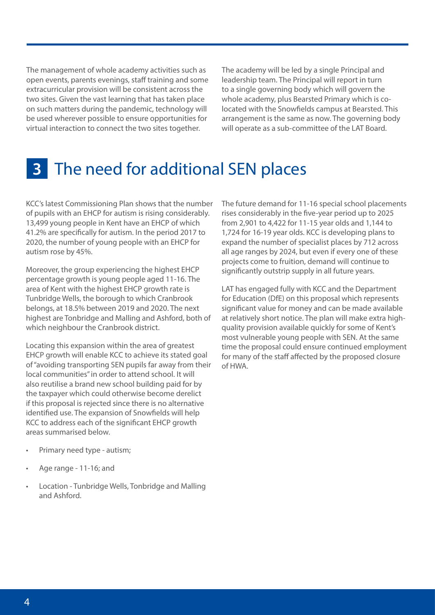The management of whole academy activities such as open events, parents evenings, staff training and some extracurricular provision will be consistent across the two sites. Given the vast learning that has taken place on such matters during the pandemic, technology will be used wherever possible to ensure opportunities for virtual interaction to connect the two sites together.

The academy will be led by a single Principal and leadership team. The Principal will report in turn to a single governing body which will govern the whole academy, plus Bearsted Primary which is colocated with the Snowfields campus at Bearsted. This arrangement is the same as now. The governing body will operate as a sub-committee of the LAT Board.

#### The need for additional SEN places **3**

KCC's latest Commissioning Plan shows that the number of pupils with an EHCP for autism is rising considerably. 13,499 young people in Kent have an EHCP of which 41.2% are specifically for autism. In the period 2017 to 2020, the number of young people with an EHCP for autism rose by 45%.

Moreover, the group experiencing the highest EHCP percentage growth is young people aged 11-16. The area of Kent with the highest EHCP growth rate is Tunbridge Wells, the borough to which Cranbrook belongs, at 18.5% between 2019 and 2020. The next highest are Tonbridge and Malling and Ashford, both of which neighbour the Cranbrook district.

Locating this expansion within the area of greatest EHCP growth will enable KCC to achieve its stated goal of "avoiding transporting SEN pupils far away from their local communities" in order to attend school. It will also reutilise a brand new school building paid for by the taxpayer which could otherwise become derelict if this proposal is rejected since there is no alternative identified use. The expansion of Snowfields will help KCC to address each of the significant EHCP growth areas summarised below.

The future demand for 11-16 special school placements rises considerably in the five-year period up to 2025 from 2,901 to 4,422 for 11-15 year olds and 1,144 to 1,724 for 16-19 year olds. KCC is developing plans to expand the number of specialist places by 712 across all age ranges by 2024, but even if every one of these projects come to fruition, demand will continue to significantly outstrip supply in all future years.

LAT has engaged fully with KCC and the Department for Education (DfE) on this proposal which represents significant value for money and can be made available at relatively short notice. The plan will make extra highquality provision available quickly for some of Kent's most vulnerable young people with SEN. At the same time the proposal could ensure continued employment for many of the staff affected by the proposed closure of HWA.

- Primary need type autism;
- Age range 11-16; and
- Location Tunbridge Wells, Tonbridge and Malling and Ashford.